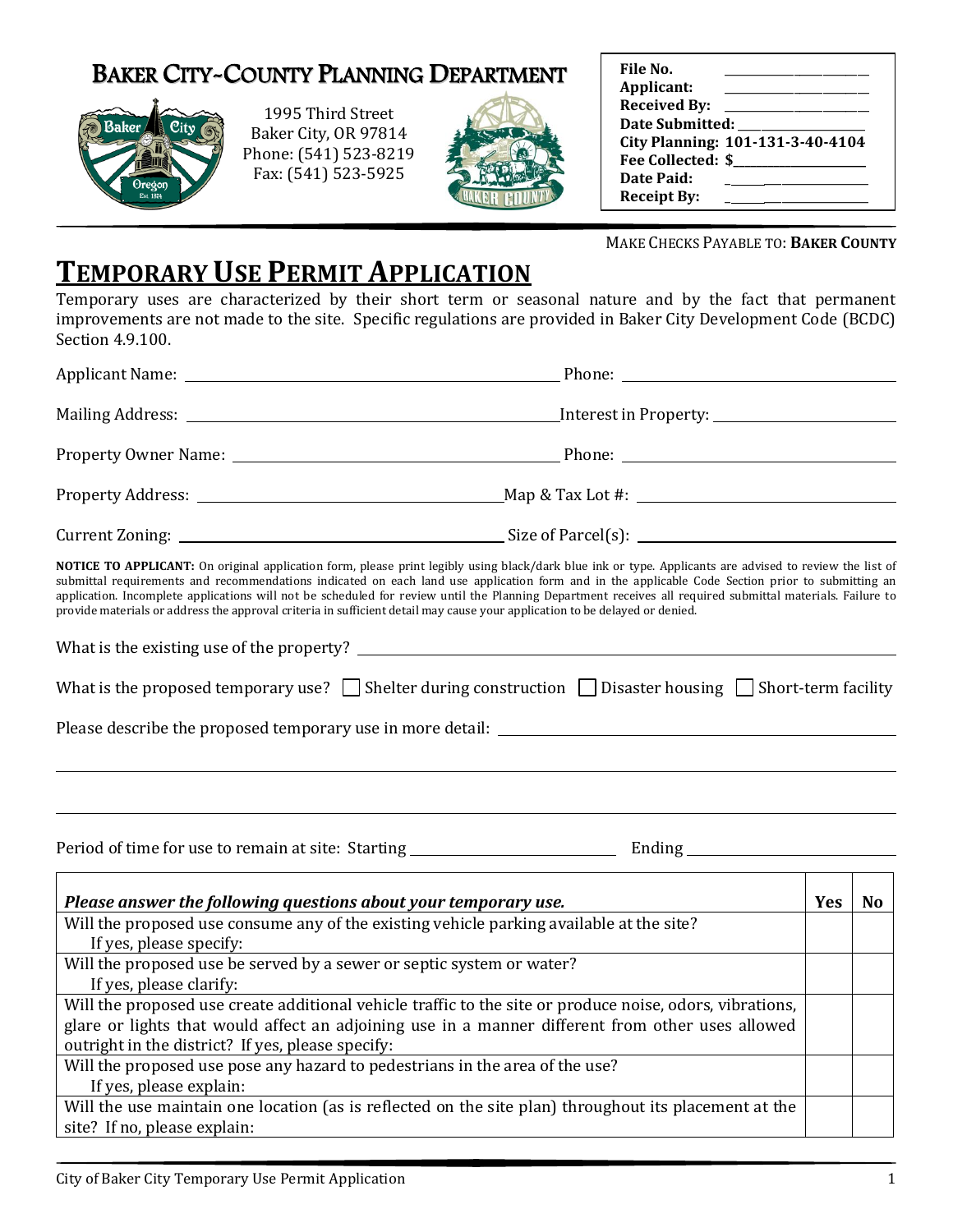# BAKER CITY-COUNTY PLANNING DEPARTMENT



1995 Third Street Baker City, OR 97814 Phone: (541) 523-8219 Fax: (541) 523-5925



| File No.            |                                  |  |  |
|---------------------|----------------------------------|--|--|
| Applicant:          |                                  |  |  |
| <b>Received By:</b> |                                  |  |  |
| Date Submitted:     |                                  |  |  |
|                     | City Planning: 101-131-3-40-4104 |  |  |
| Fee Collected: \$   |                                  |  |  |
| Date Paid:          |                                  |  |  |
| <b>Receipt By:</b>  |                                  |  |  |

MAKE CHECKS PAYABLE TO: **BAKER COUNTY**

# **TEMPORARY USE PERMIT APPLICATION**

Temporary uses are characterized by their short term or seasonal nature and by the fact that permanent improvements are not made to the site. Specific regulations are provided in Baker City Development Code (BCDC) Section 4.9.100.

| NOTICE TO APPLICANT: On original application form, please print legibly using black/dark blue ink or type. Applicants are advised to review the list of<br>submittal requirements and recommendations indicated on each land use application form and in the applicable Code Section prior to submitting an<br>application. Incomplete applications will not be scheduled for review until the Planning Department receives all required submittal materials. Failure to<br>provide materials or address the approval criteria in sufficient detail may cause your application to be delayed or denied. |  |     |    |
|---------------------------------------------------------------------------------------------------------------------------------------------------------------------------------------------------------------------------------------------------------------------------------------------------------------------------------------------------------------------------------------------------------------------------------------------------------------------------------------------------------------------------------------------------------------------------------------------------------|--|-----|----|
|                                                                                                                                                                                                                                                                                                                                                                                                                                                                                                                                                                                                         |  |     |    |
| What is the proposed temporary use? $\Box$ Shelter during construction $\Box$ Disaster housing $\Box$ Short-term facility                                                                                                                                                                                                                                                                                                                                                                                                                                                                               |  |     |    |
| Please describe the proposed temporary use in more detail:                                                                                                                                                                                                                                                                                                                                                                                                                                                                                                                                              |  |     |    |
|                                                                                                                                                                                                                                                                                                                                                                                                                                                                                                                                                                                                         |  |     |    |
|                                                                                                                                                                                                                                                                                                                                                                                                                                                                                                                                                                                                         |  |     |    |
| Please answer the following questions about your temporary use.                                                                                                                                                                                                                                                                                                                                                                                                                                                                                                                                         |  | Yes | No |
| Will the proposed use consume any of the existing vehicle parking available at the site?                                                                                                                                                                                                                                                                                                                                                                                                                                                                                                                |  |     |    |
| If yes, please specify:                                                                                                                                                                                                                                                                                                                                                                                                                                                                                                                                                                                 |  |     |    |
| Will the proposed use be served by a sewer or septic system or water?                                                                                                                                                                                                                                                                                                                                                                                                                                                                                                                                   |  |     |    |
| If yes, please clarify:<br>Will the proposed use create additional vehicle traffic to the site or produce noise, odors, vibrations,                                                                                                                                                                                                                                                                                                                                                                                                                                                                     |  |     |    |
| glare or lights that would affect an adjoining use in a manner different from other uses allowed                                                                                                                                                                                                                                                                                                                                                                                                                                                                                                        |  |     |    |
| outright in the district? If yes, please specify:                                                                                                                                                                                                                                                                                                                                                                                                                                                                                                                                                       |  |     |    |
| Will the proposed use pose any hazard to pedestrians in the area of the use?                                                                                                                                                                                                                                                                                                                                                                                                                                                                                                                            |  |     |    |
| If yes, please explain:                                                                                                                                                                                                                                                                                                                                                                                                                                                                                                                                                                                 |  |     |    |
| Will the use maintain one location (as is reflected on the site plan) throughout its placement at the                                                                                                                                                                                                                                                                                                                                                                                                                                                                                                   |  |     |    |
| site? If no, please explain:                                                                                                                                                                                                                                                                                                                                                                                                                                                                                                                                                                            |  |     |    |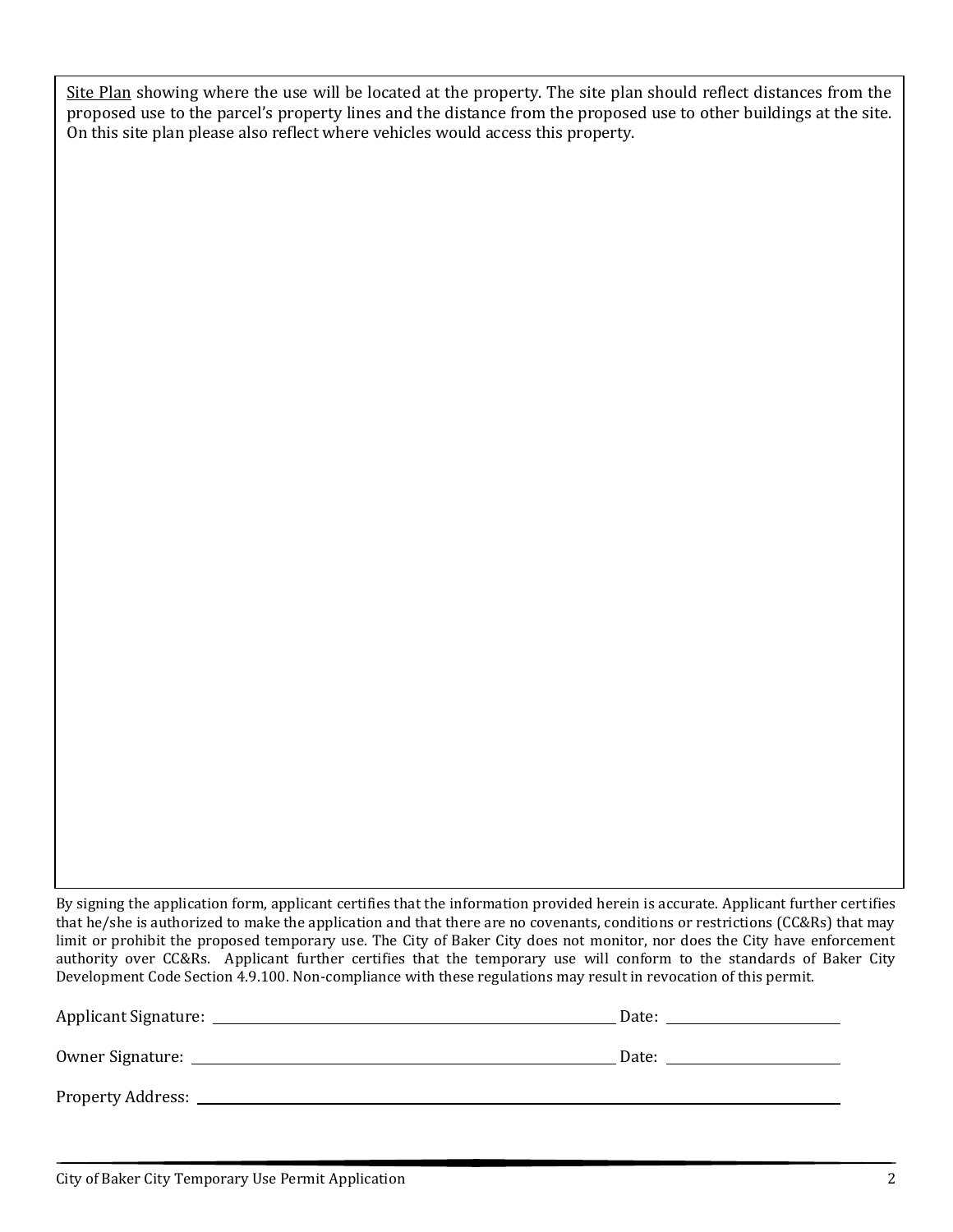Site Plan showing where the use will be located at the property. The site plan should reflect distances from the proposed use to the parcel's property lines and the distance from the proposed use to other buildings at the site. On this site plan please also reflect where vehicles would access this property.

By signing the application form, applicant certifies that the information provided herein is accurate. Applicant further certifies that he/she is authorized to make the application and that there are no covenants, conditions or restrictions (CC&Rs) that may limit or prohibit the proposed temporary use. The City of Baker City does not monitor, nor does the City have enforcement authority over CC&Rs. Applicant further certifies that the temporary use will conform to the standards of Baker City Development Code Section 4.9.100. Non-compliance with these regulations may result in revocation of this permit.

| <b>Applicant Signature:</b> | Date: |
|-----------------------------|-------|
| Owner Signature:            | Date: |
| <b>Property Address:</b>    |       |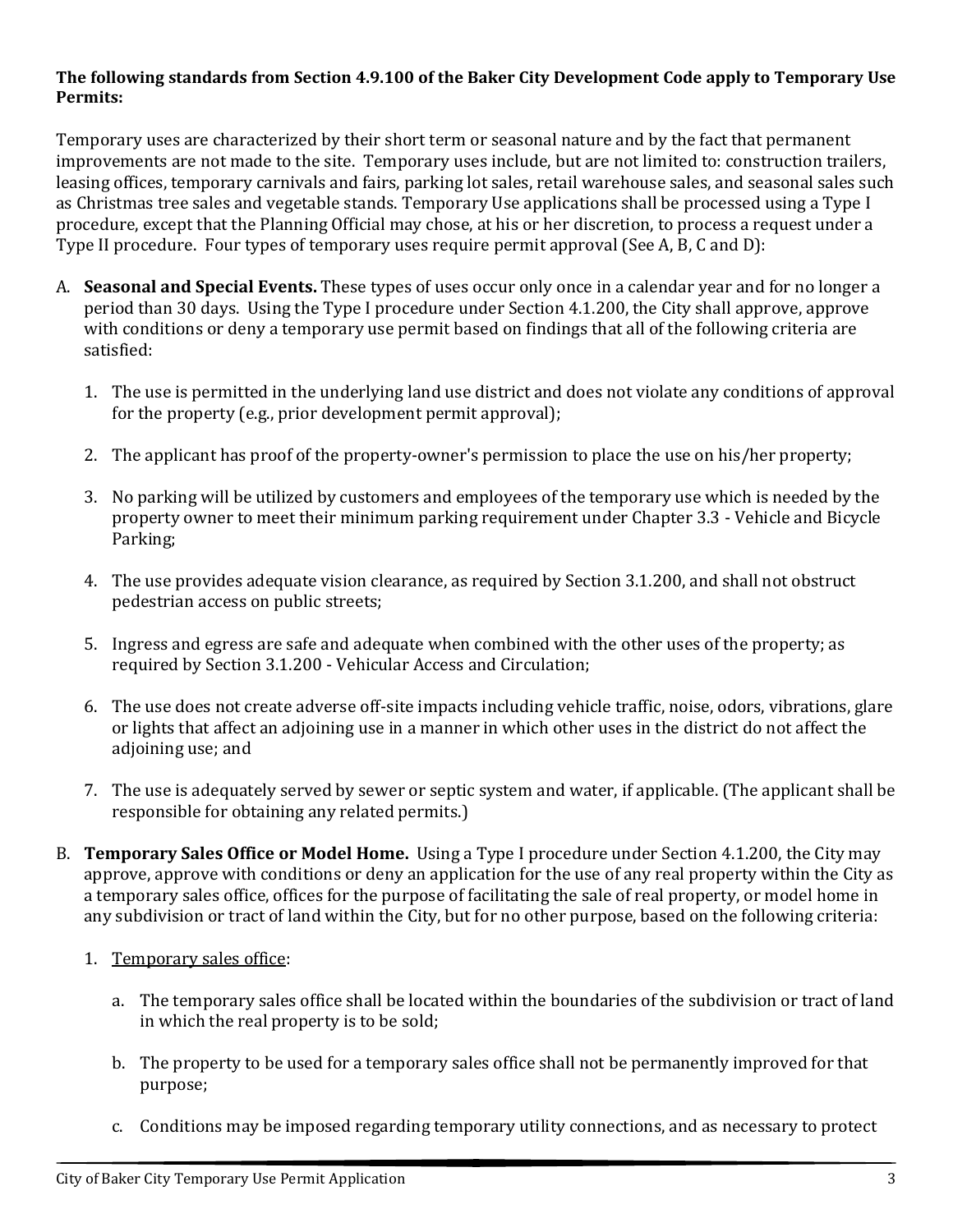#### **The following standards from Section 4.9.100 of the Baker City Development Code apply to Temporary Use Permits:**

Temporary uses are characterized by their short term or seasonal nature and by the fact that permanent improvements are not made to the site. Temporary uses include, but are not limited to: construction trailers, leasing offices, temporary carnivals and fairs, parking lot sales, retail warehouse sales, and seasonal sales such as Christmas tree sales and vegetable stands. Temporary Use applications shall be processed using a Type I procedure, except that the Planning Official may chose, at his or her discretion, to process a request under a Type II procedure. Four types of temporary uses require permit approval (See A, B, C and D):

- A. **Seasonal and Special Events.** These types of uses occur only once in a calendar year and for no longer a period than 30 days. Using the Type I procedure under Section 4.1.200, the City shall approve, approve with conditions or deny a temporary use permit based on findings that all of the following criteria are satisfied:
	- 1. The use is permitted in the underlying land use district and does not violate any conditions of approval for the property (e.g., prior development permit approval);
	- 2. The applicant has proof of the property-owner's permission to place the use on his/her property;
	- 3. No parking will be utilized by customers and employees of the temporary use which is needed by the property owner to meet their minimum parking requirement under Chapter 3.3 - Vehicle and Bicycle Parking;
	- 4. The use provides adequate vision clearance, as required by Section 3.1.200, and shall not obstruct pedestrian access on public streets;
	- 5. Ingress and egress are safe and adequate when combined with the other uses of the property; as required by Section 3.1.200 - Vehicular Access and Circulation;
	- 6. The use does not create adverse off-site impacts including vehicle traffic, noise, odors, vibrations, glare or lights that affect an adjoining use in a manner in which other uses in the district do not affect the adjoining use; and
	- 7. The use is adequately served by sewer or septic system and water, if applicable. (The applicant shall be responsible for obtaining any related permits.)
- B. **Temporary Sales Office or Model Home.** Using a Type I procedure under Section 4.1.200, the City may approve, approve with conditions or deny an application for the use of any real property within the City as a temporary sales office, offices for the purpose of facilitating the sale of real property, or model home in any subdivision or tract of land within the City, but for no other purpose, based on the following criteria:
	- 1. Temporary sales office:
		- a. The temporary sales office shall be located within the boundaries of the subdivision or tract of land in which the real property is to be sold;
		- b. The property to be used for a temporary sales office shall not be permanently improved for that purpose;
		- c. Conditions may be imposed regarding temporary utility connections, and as necessary to protect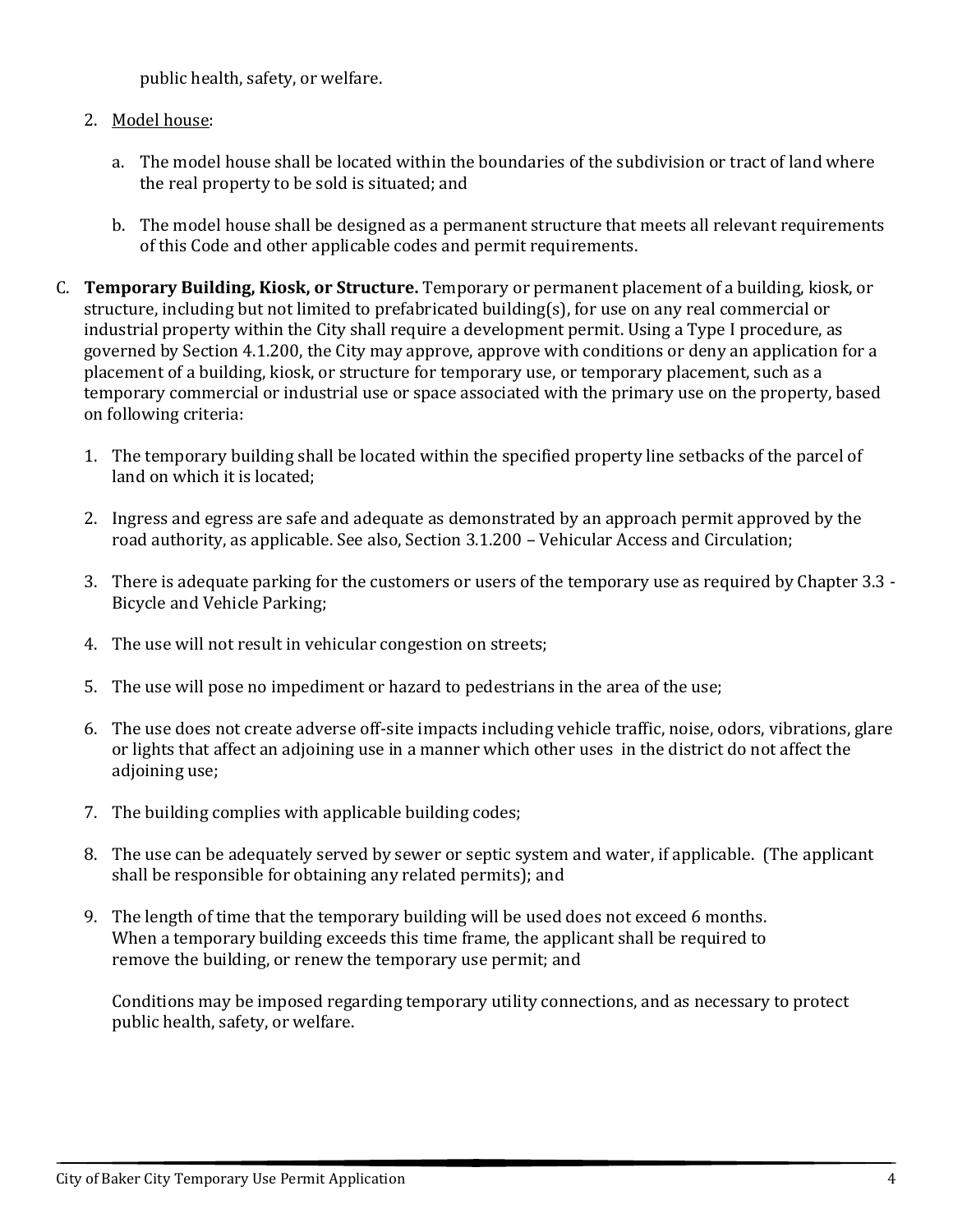public health, safety, or welfare.

## 2. Model house:

- a. The model house shall be located within the boundaries of the subdivision or tract of land where the real property to be sold is situated; and
- b. The model house shall be designed as a permanent structure that meets all relevant requirements of this Code and other applicable codes and permit requirements.
- C. **Temporary Building, Kiosk, or Structure.** Temporary or permanent placement of a building, kiosk, or structure, including but not limited to prefabricated building(s), for use on any real commercial or industrial property within the City shall require a development permit. Using a Type I procedure, as governed by Section 4.1.200, the City may approve, approve with conditions or deny an application for a placement of a building, kiosk, or structure for temporary use, or temporary placement, such as a temporary commercial or industrial use or space associated with the primary use on the property, based on following criteria:
	- 1. The temporary building shall be located within the specified property line setbacks of the parcel of land on which it is located;
	- 2. Ingress and egress are safe and adequate as demonstrated by an approach permit approved by the road authority, as applicable. See also, Section 3.1.200 – Vehicular Access and Circulation;
	- 3. There is adequate parking for the customers or users of the temporary use as required by Chapter 3.3 Bicycle and Vehicle Parking;
	- 4. The use will not result in vehicular congestion on streets;
	- 5. The use will pose no impediment or hazard to pedestrians in the area of the use;
	- 6. The use does not create adverse off-site impacts including vehicle traffic, noise, odors, vibrations, glare or lights that affect an adjoining use in a manner which other uses in the district do not affect the adjoining use;
	- 7. The building complies with applicable building codes;
	- 8. The use can be adequately served by sewer or septic system and water, if applicable. (The applicant shall be responsible for obtaining any related permits); and
	- 9. The length of time that the temporary building will be used does not exceed 6 months. When a temporary building exceeds this time frame, the applicant shall be required to remove the building, or renew the temporary use permit; and

Conditions may be imposed regarding temporary utility connections, and as necessary to protect public health, safety, or welfare.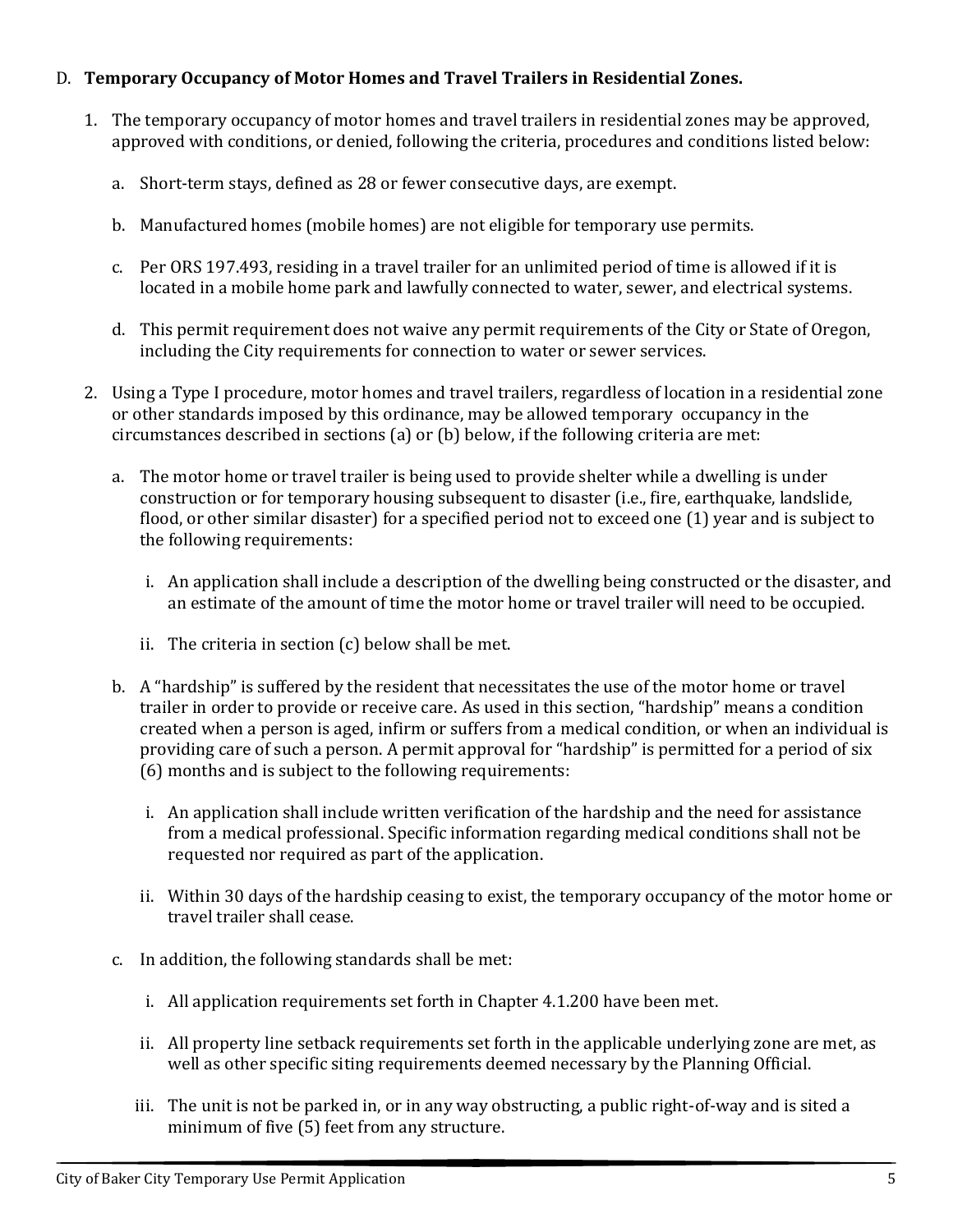## D. **Temporary Occupancy of Motor Homes and Travel Trailers in Residential Zones.**

- 1. The temporary occupancy of motor homes and travel trailers in residential zones may be approved, approved with conditions, or denied, following the criteria, procedures and conditions listed below:
	- a. Short-term stays, defined as 28 or fewer consecutive days, are exempt.
	- b. Manufactured homes (mobile homes) are not eligible for temporary use permits.
	- c. Per ORS 197.493, residing in a travel trailer for an unlimited period of time is allowed if it is located in a mobile home park and lawfully connected to water, sewer, and electrical systems.
	- d. This permit requirement does not waive any permit requirements of the City or State of Oregon, including the City requirements for connection to water or sewer services.
- 2. Using a Type I procedure, motor homes and travel trailers, regardless of location in a residential zone or other standards imposed by this ordinance, may be allowed temporary occupancy in the circumstances described in sections (a) or (b) below, if the following criteria are met:
	- a. The motor home or travel trailer is being used to provide shelter while a dwelling is under construction or for temporary housing subsequent to disaster (i.e., fire, earthquake, landslide, flood, or other similar disaster) for a specified period not to exceed one (1) year and is subject to the following requirements:
		- i. An application shall include a description of the dwelling being constructed or the disaster, and an estimate of the amount of time the motor home or travel trailer will need to be occupied.
		- ii. The criteria in section (c) below shall be met.
	- b. A "hardship" is suffered by the resident that necessitates the use of the motor home or travel trailer in order to provide or receive care. As used in this section, "hardship" means a condition created when a person is aged, infirm or suffers from a medical condition, or when an individual is providing care of such a person. A permit approval for "hardship" is permitted for a period of six (6) months and is subject to the following requirements:
		- i. An application shall include written verification of the hardship and the need for assistance from a medical professional. Specific information regarding medical conditions shall not be requested nor required as part of the application.
		- ii. Within 30 days of the hardship ceasing to exist, the temporary occupancy of the motor home or travel trailer shall cease.
	- c. In addition, the following standards shall be met:
		- i. All application requirements set forth in Chapter 4.1.200 have been met.
		- ii. All property line setback requirements set forth in the applicable underlying zone are met, as well as other specific siting requirements deemed necessary by the Planning Official.
		- iii. The unit is not be parked in, or in any way obstructing, a public right-of-way and is sited a minimum of five (5) feet from any structure.